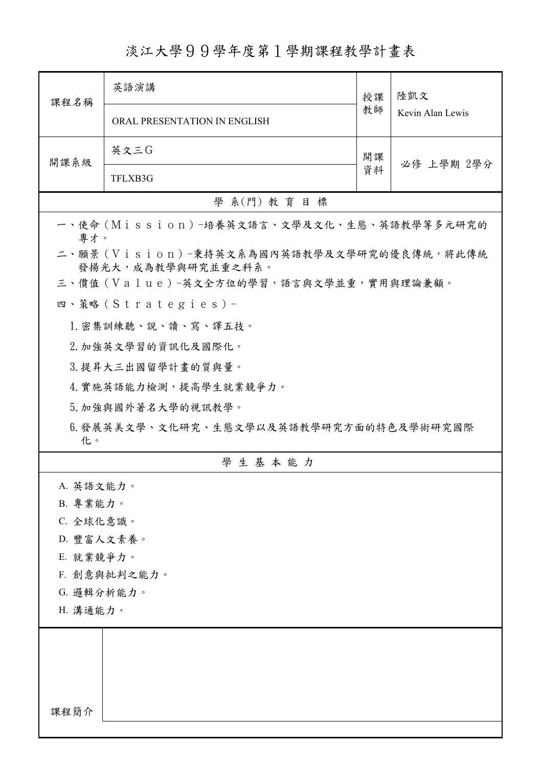淡江大學99學年度第1學期課程教學計畫表

| 課程名稱                                                            | 英語演講                                  | 授課<br>教師 | 陸凱文<br>Kevin Alan Lewis |  |  |
|-----------------------------------------------------------------|---------------------------------------|----------|-------------------------|--|--|
|                                                                 | ORAL PRESENTATION IN ENGLISH          |          |                         |  |  |
| 開課系級                                                            | 英文三G                                  | 開課<br>資料 | 必修 上學期 2學分              |  |  |
|                                                                 | TFLXB3G                               |          |                         |  |  |
| 學 系(門) 教育目標                                                     |                                       |          |                         |  |  |
| 一、使命 (Mission) -培養英文語言、文學及文化、生態、英語教學等多元研究的<br>專才。               |                                       |          |                         |  |  |
| 二、願景 (Vision)-秉持英文系為國內英語教學及文學研究的優良傳統,將此傳統<br>發揚光大,成為教學與研究並重之科系。 |                                       |          |                         |  |  |
|                                                                 | 三、價值(Value)-英文全方位的學習,語言與文學並重,實用與理論兼顧。 |          |                         |  |  |
|                                                                 | 四、策略 (Strategies) -                   |          |                         |  |  |
|                                                                 | 1. 密集訓練聽、說、讀、寫、譯五技。                   |          |                         |  |  |
|                                                                 | 2. 加強英文學習的資訊化及國際化。                    |          |                         |  |  |
|                                                                 | 3. 提昇大三出國留學計畫的質與量。                    |          |                         |  |  |
| 4. 實施英語能力檢測,提高學生就業競爭力。                                          |                                       |          |                         |  |  |
|                                                                 | 5. 加強與國外著名大學的視訊教學。                    |          |                         |  |  |
| 6.發展英美文學、文化研究、生態文學以及英語教學研究方面的特色及學術研究國際<br>化。                    |                                       |          |                         |  |  |
|                                                                 | 學生基本能力                                |          |                         |  |  |
| A. 英語文能力。                                                       |                                       |          |                         |  |  |
| B. 專業能力。                                                        |                                       |          |                         |  |  |
| C. 全球化意識。                                                       |                                       |          |                         |  |  |
| D. 豐富人文素養。                                                      |                                       |          |                         |  |  |
| E. 就業競爭力。                                                       |                                       |          |                         |  |  |
| F. 創意與批判之能力。                                                    |                                       |          |                         |  |  |
| G. 邏輯分析能力。                                                      |                                       |          |                         |  |  |
| H. 溝通能力。                                                        |                                       |          |                         |  |  |
|                                                                 |                                       |          |                         |  |  |
|                                                                 |                                       |          |                         |  |  |
|                                                                 |                                       |          |                         |  |  |
| 課程簡介                                                            |                                       |          |                         |  |  |
|                                                                 |                                       |          |                         |  |  |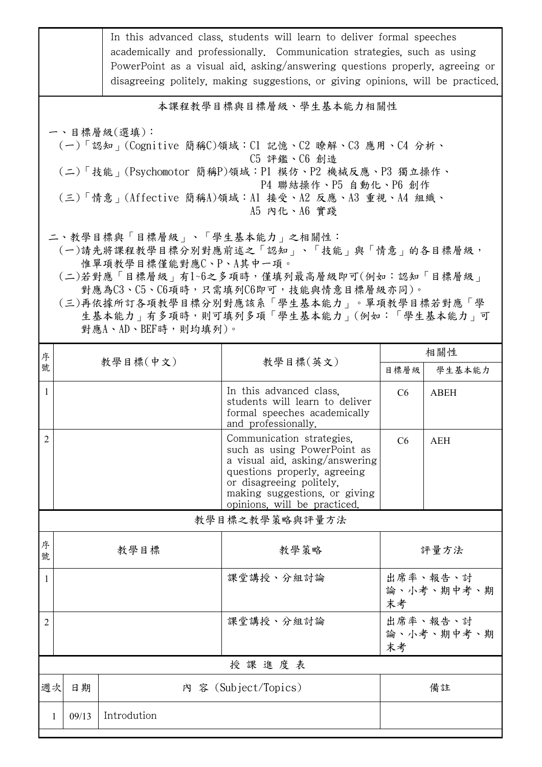| 本課程教學目標與目標層級、學生基本能力相關性<br>一、目標層級(選填):<br>(一)「認知」(Cognitive 簡稱C)領域:C1 記憶、C2 瞭解、C3 應用、C4 分析、<br>C5 評鑑、C6 創造<br>(二)「技能」(Psychomotor 簡稱P)領域:P1 模仿、P2 機械反應、P3 獨立操作、<br>P4 聯結操作、P5 自動化、P6 創作<br>(三)「情意」(Affective 簡稱A)領域:Al 接受、A2 反應、A3 重視、A4 組織、<br>A5 内化、A6 實踐<br>二、教學目標與「目標層級」、「學生基本能力」之相關性:<br>惟單項教學目標僅能對應C、P、A其中一項。 |            |  |  |  |  |  |  |
|--------------------------------------------------------------------------------------------------------------------------------------------------------------------------------------------------------------------------------------------------------------------------------------------------------------------|------------|--|--|--|--|--|--|
|                                                                                                                                                                                                                                                                                                                    |            |  |  |  |  |  |  |
|                                                                                                                                                                                                                                                                                                                    |            |  |  |  |  |  |  |
| (一)請先將課程教學目標分別對應前述之「認知」、「技能」與「情意」的各目標層級,<br>(二)若對應「目標層級」有1~6之多項時,僅填列最高層級即可(例如:認知「目標層級」<br>對應為C3、C5、C6項時,只需填列C6即可,技能與情意目標層級亦同)。<br>(三)再依據所訂各項教學目標分別對應該系「學生基本能力」。單項教學目標若對應「學<br>生基本能力   有多項時, 則可填列多項「學生基本能力」(例如:「學生基本能力」可<br>對應A、AD、BEF時,則均填列)。                                                                      |            |  |  |  |  |  |  |
| 相關性<br>序<br>教學目標(中文)<br>教學目標(英文)<br>號                                                                                                                                                                                                                                                                              |            |  |  |  |  |  |  |
| 目標層級<br>學生基本能力                                                                                                                                                                                                                                                                                                     |            |  |  |  |  |  |  |
| In this advanced class.<br>$\mathbf{1}$<br><b>ABEH</b><br>C6<br>students will learn to deliver<br>formal speeches academically<br>and professionally.                                                                                                                                                              |            |  |  |  |  |  |  |
| $\overline{2}$<br>Communication strategies,<br>C6<br><b>AEH</b><br>such as using PowerPoint as<br>a visual aid, asking/answering<br>questions properly, agreeing<br>or disagreeing politely,<br>making suggestions, or giving<br>opinions, will be practiced.                                                      |            |  |  |  |  |  |  |
| 教學目標之教學策略與評量方法                                                                                                                                                                                                                                                                                                     |            |  |  |  |  |  |  |
| 序<br>教學目標<br>教學策略<br>評量方法<br>號                                                                                                                                                                                                                                                                                     |            |  |  |  |  |  |  |
| 出席率、報告、討<br>課堂講授、分組討論<br>1<br>末考                                                                                                                                                                                                                                                                                   | 論、小考、期中考、期 |  |  |  |  |  |  |
| 出席率、報告、討<br>課堂講授、分組討論<br>2<br>末考                                                                                                                                                                                                                                                                                   | 論、小考、期中考、期 |  |  |  |  |  |  |
| 授課進度表                                                                                                                                                                                                                                                                                                              |            |  |  |  |  |  |  |
| 內 容 (Subject/Topics)<br>週次<br>日期<br>備註                                                                                                                                                                                                                                                                             |            |  |  |  |  |  |  |
| Introdution<br>09/13<br>1                                                                                                                                                                                                                                                                                          |            |  |  |  |  |  |  |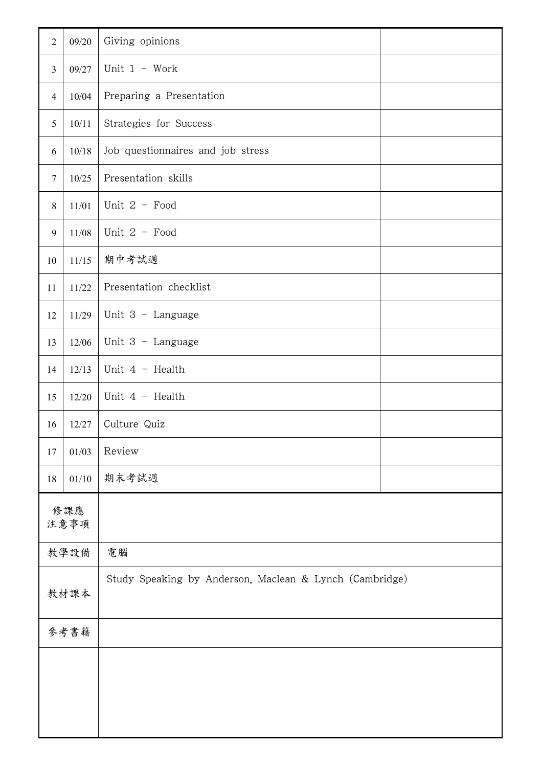| $\sqrt{2}$      | 09/20   | Giving opinions                                         |  |
|-----------------|---------|---------------------------------------------------------|--|
| $\overline{3}$  | 09/27   | Unit $1 - Work$                                         |  |
| $\overline{4}$  | 10/04   | Preparing a Presentation                                |  |
| 5               | 10/11   | Strategies for Success                                  |  |
| 6               | 10/18   | Job questionnaires and job stress                       |  |
| $7\phantom{.0}$ | 10/25   | Presentation skills                                     |  |
| 8               | 11/01   | Unit 2 - Food                                           |  |
| 9               | $11/08$ | Unit $2$ - Food                                         |  |
| 10              | 11/15   | 期中考試週                                                   |  |
| 11              | 11/22   | Presentation checklist                                  |  |
| 12              | 11/29   | Unit $3$ - Language                                     |  |
| 13              | 12/06   | Unit 3 - Language                                       |  |
| 14              | 12/13   | Unit $4$ - Health                                       |  |
| 15              | 12/20   | Unit $4$ - Health                                       |  |
| 16              | 12/27   | Culture Quiz                                            |  |
| 17              | 01/03   | Review                                                  |  |
| 18              | 01/10   | 期末考試週                                                   |  |
| 修課應<br>注意事項     |         |                                                         |  |
| 教學設備            |         | 電腦                                                      |  |
| 教材課本            |         | Study Speaking by Anderson, Maclean & Lynch (Cambridge) |  |
| 參考書籍            |         |                                                         |  |
|                 |         |                                                         |  |